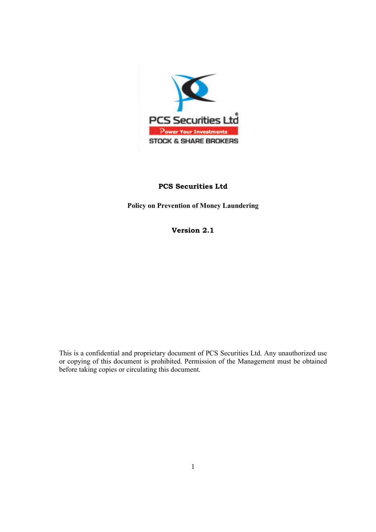

# **PCS Securities Ltd**

**Policy on Prevention of Money Laundering**

**Version 2.1**

This is a confidential and proprietary document of PCS Securities Ltd. Any unauthorized use or copying of this document is prohibited. Permission of the Management must be obtained before taking copies or circulating this document.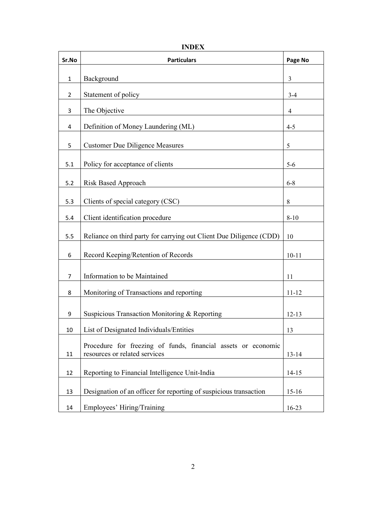| Sr.No          | <b>Particulars</b>                                                                             | Page No        |
|----------------|------------------------------------------------------------------------------------------------|----------------|
| $\mathbf{1}$   | Background                                                                                     | $\overline{3}$ |
| $\overline{2}$ | Statement of policy                                                                            | $3-4$          |
| 3              | The Objective                                                                                  | 4              |
| 4              | Definition of Money Laundering (ML)                                                            | $4 - 5$        |
| 5              | <b>Customer Due Diligence Measures</b>                                                         | 5              |
| 5.1            | Policy for acceptance of clients                                                               | $5-6$          |
| 5.2            | <b>Risk Based Approach</b>                                                                     | $6 - 8$        |
| 5.3            | Clients of special category (CSC)                                                              | $\,8\,$        |
| 5.4            | Client identification procedure                                                                | $8 - 10$       |
| 5.5            | Reliance on third party for carrying out Client Due Diligence (CDD)                            | 10             |
| 6              | Record Keeping/Retention of Records                                                            | $10 - 11$      |
| 7              | Information to be Maintained                                                                   | 11             |
| 8              | Monitoring of Transactions and reporting                                                       | $11 - 12$      |
| 9              | Suspicious Transaction Monitoring & Reporting                                                  | $12 - 13$      |
| 10             | List of Designated Individuals/Entities                                                        | 13             |
| 11             | Procedure for freezing of funds, financial assets or economic<br>resources or related services | $13 - 14$      |
| 12             | Reporting to Financial Intelligence Unit-India                                                 | $14 - 15$      |
| 13             | Designation of an officer for reporting of suspicious transaction                              | $15-16$        |
| 14             | Employees' Hiring/Training                                                                     | 16-23          |

**INDEX**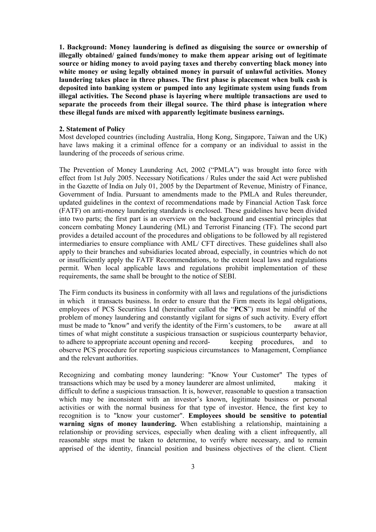**1. Background: Money laundering is defined as disguising the source or ownership of illegally obtained/ gained funds/money to make them appear arising out of legitimate source or hiding money to avoid paying taxes and thereby converting black money into white money or using legally obtained money in pursuit of unlawful activities. Money laundering takes place in three phases. The first phase is placement when bulk cash is deposited into banking system or pumped into any legitimate system using funds from illegal activities. The Second phase is layering where multiple transactions are used to separate the proceeds from their illegal source. The third phase is integration where these illegal funds are mixed with apparently legitimate business earnings.**

#### **2. Statement of Policy**

Most developed countries (including Australia, Hong Kong, Singapore, Taiwan and the UK) have laws making it a criminal offence for a company or an individual to assist in the laundering of the proceeds of serious crime.

The Prevention of Money Laundering Act, 2002 ("PMLA") was brought into force with effect from 1st July 2005. Necessary Notifications / Rules under the said Act were published in the Gazette of India on July 01, 2005 by the Department of Revenue, Ministry of Finance, Government of India. Pursuant to amendments made to the PMLA and Rules thereunder, updated guidelines in the context of recommendations made by Financial Action Task force (FATF) on anti-money laundering standards is enclosed. These guidelines have been divided into two parts; the first part is an overview on the background and essential principles that concern combating Money Laundering (ML) and Terrorist Financing (TF). The second part provides a detailed account of the procedures and obligations to be followed by all registered intermediaries to ensure compliance with AML/ CFT directives. These guidelines shall also apply to their branches and subsidiaries located abroad, especially, in countries which do not or insufficiently apply the FATF Recommendations, to the extent local laws and regulations permit. When local applicable laws and regulations prohibit implementation of these requirements, the same shall be brought to the notice of SEBI.

The Firm conducts its business in conformity with all laws and regulations of the jurisdictions in which it transacts business. In order to ensure that the Firm meets its legal obligations, employees of PCS Securities Ltd (hereinafter called the "**PCS**") must be mindful of the problem of money laundering and constantly vigilant for signs of such activity. Every effort must be made to "know" and verify the identity of the Firm's customers, to be aware at all times of what might constitute a suspicious transaction or suspicious counterparty behavior, to adhere to appropriate account opening and record- keeping procedures, and to observe PCS procedure for reporting suspicious circumstances to Management, Compliance and the relevant authorities.

Recognizing and combating money laundering: "Know Your Customer" The types of transactions which may be used by a money launderer are almost unlimited, making it difficult to define a suspicious transaction. It is, however, reasonable to question a transaction which may be inconsistent with an investor's known, legitimate business or personal activities or with the normal business for that type of investor. Hence, the first key to recognition is to "know your customer". **Employees should be sensitive to potential warning signs of money laundering.** When establishing a relationship, maintaining a relationship or providing services, especially when dealing with a client infrequently, all reasonable steps must be taken to determine, to verify where necessary, and to remain apprised of the identity, financial position and business objectives of the client. Client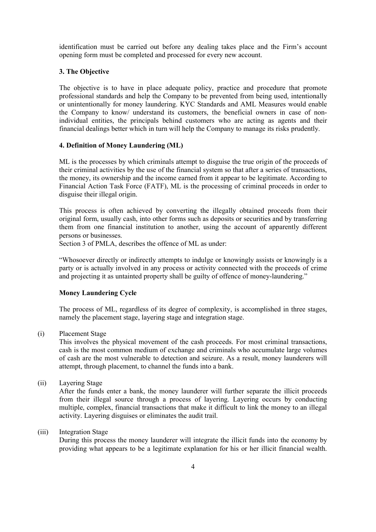identification must be carried out before any dealing takes place and the Firm's account opening form must be completed and processed for every new account.

## **3. The Objective**

The objective is to have in place adequate policy, practice and procedure that promote professional standards and help the Company to be prevented from being used, intentionally or unintentionally for money laundering. KYC Standards and AML Measures would enable the Company to know/ understand its customers, the beneficial owners in case of nonindividual entities, the principals behind customers who are acting as agents and their financial dealings better which in turn will help the Company to manage its risks prudently.

#### **4. Definition of Money Laundering (ML)**

ML is the processes by which criminals attempt to disguise the true origin of the proceeds of their criminal activities by the use of the financial system so that after a series of transactions, the money, its ownership and the income earned from it appear to be legitimate. According to Financial Action Task Force (FATF), ML is the processing of criminal proceeds in order to disguise their illegal origin.

This process is often achieved by converting the illegally obtained proceeds from their original form, usually cash, into other forms such as deposits or securities and by transferring them from one financial institution to another, using the account of apparently different persons or businesses.

Section 3 of PMLA, describes the offence of ML as under:

"Whosoever directly or indirectly attempts to indulge or knowingly assists or knowingly is a party or is actually involved in any process or activity connected with the proceeds of crime and projecting it as untainted property shall be guilty of offence of money-laundering."

#### **Money Laundering Cycle**

The process of ML, regardless of its degree of complexity, is accomplished in three stages, namely the placement stage, layering stage and integration stage.

(i) Placement Stage

This involves the physical movement of the cash proceeds. For most criminal transactions, cash is the most common medium of exchange and criminals who accumulate large volumes of cash are the most vulnerable to detection and seizure. As a result, money launderers will attempt, through placement, to channel the funds into a bank.

(ii) Layering Stage

After the funds enter a bank, the money launderer will further separate the illicit proceeds from their illegal source through a process of layering. Layering occurs by conducting multiple, complex, financial transactions that make it difficult to link the money to an illegal activity. Layering disguises or eliminates the audit trail.

## (iii) Integration Stage

During this process the money launderer will integrate the illicit funds into the economy by providing what appears to be a legitimate explanation for his or her illicit financial wealth.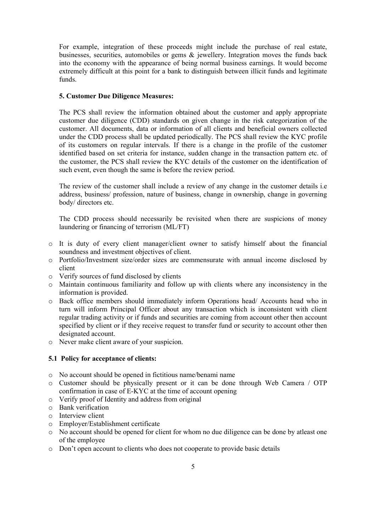For example, integration of these proceeds might include the purchase of real estate, businesses, securities, automobiles or gems & jewellery. Integration moves the funds back into the economy with the appearance of being normal business earnings. It would become extremely difficult at this point for a bank to distinguish between illicit funds and legitimate funds.

## **5. Customer Due Diligence Measures:**

The PCS shall review the information obtained about the customer and apply appropriate customer due diligence (CDD) standards on given change in the risk categorization of the customer. All documents, data or information of all clients and beneficial owners collected under the CDD process shall be updated periodically. The PCS shall review the KYC profile of its customers on regular intervals. If there is a change in the profile of the customer identified based on set criteria for instance, sudden change in the transaction pattern etc. of the customer, the PCS shall review the KYC details of the customer on the identification of such event, even though the same is before the review period.

The review of the customer shall include a review of any change in the customer details i.e address, business/ profession, nature of business, change in ownership, change in governing body/ directors etc.

The CDD process should necessarily be revisited when there are suspicions of money laundering or financing of terrorism (ML/FT)

- o It is duty of every client manager/client owner to satisfy himself about the financial soundness and investment objectives of client.
- o Portfolio/Investment size/order sizes are commensurate with annual income disclosed by client
- o Verify sources of fund disclosed by clients
- o Maintain continuous familiarity and follow up with clients where any inconsistency in the information is provided.
- o Back office members should immediately inform Operations head/ Accounts head who in turn will inform Principal Officer about any transaction which is inconsistent with client regular trading activity or if funds and securities are coming from account other then account specified by client or if they receive request to transfer fund or security to account other then designated account.
- o Never make client aware of your suspicion.

# **5.1 Policy for acceptance of clients:**

- o No account should be opened in fictitious name/benami name
- o Customer should be physically present or it can be done through Web Camera / OTP confirmation in case of E-KYC at the time of account opening
- o Verify proof of Identity and address from original
- o Bank verification
- o Interview client
- o Employer/Establishment certificate
- o No account should be opened for client for whom no due diligence can be done by atleast one of the employee
- o Don't open account to clients who does not cooperate to provide basic details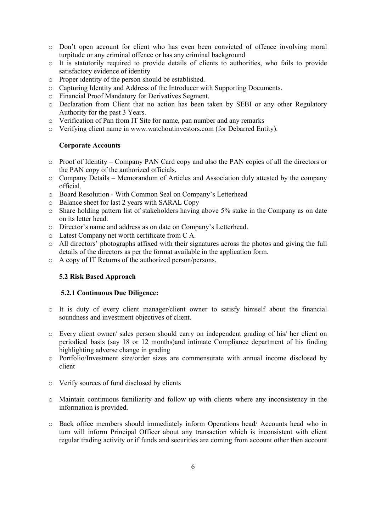- o Don't open account for client who has even been convicted of offence involving moral turpitude or any criminal offence or has any criminal background
- o It is statutorily required to provide details of clients to authorities, who fails to provide satisfactory evidence of identity
- o Proper identity of the person should be established.
- o Capturing Identity and Address of the Introducer with Supporting Documents.
- o Financial Proof Mandatory for Derivatives Segment.
- o Declaration from Client that no action has been taken by SEBI or any other Regulatory Authority for the past 3 Years.
- o Verification of Pan from IT Site for name, pan number and any remarks
- o Verifying client name in www.watchoutinvestors.com (for Debarred Entity).

## **Corporate Accounts**

- o Proof of Identity Company PAN Card copy and also the PAN copies of all the directors or the PAN copy of the authorized officials.
- o Company Details Memorandum of Articles and Association duly attested by the company official.
- o Board Resolution With Common Seal on Company's Letterhead
- o Balance sheet for last 2 years with SARAL Copy
- o Share holding pattern list of stakeholders having above 5% stake in the Company as on date on its letter head.
- o Director's name and address as on date on Company's Letterhead.
- o Latest Company net worth certificate from C A.
- o All directors' photographs affixed with their signatures across the photos and giving the full details of the directors as per the format available in the application form.
- o A copy of IT Returns of the authorized person/persons.

## **5.2 Risk Based Approach**

#### **5.2.1 Continuous Due Diligence:**

- o It is duty of every client manager/client owner to satisfy himself about the financial soundness and investment objectives of client.
- o Every client owner/ sales person should carry on independent grading of his/ her client on periodical basis (say 18 or 12 months)and intimate Compliance department of his finding highlighting adverse change in grading
- o Portfolio/Investment size/order sizes are commensurate with annual income disclosed by client
- o Verify sources of fund disclosed by clients
- o Maintain continuous familiarity and follow up with clients where any inconsistency in the information is provided.
- o Back office members should immediately inform Operations head/ Accounts head who in turn will inform Principal Officer about any transaction which is inconsistent with client regular trading activity or if funds and securities are coming from account other then account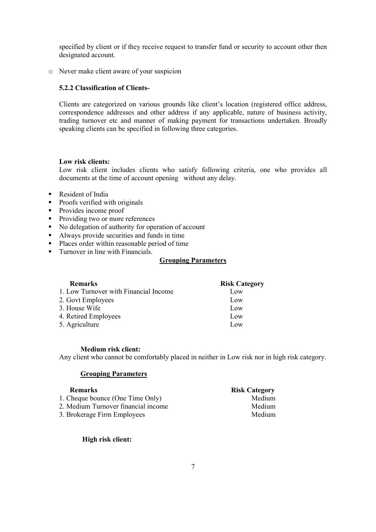specified by client or if they receive request to transfer fund or security to account other then designated account.

o Never make client aware of your suspicion

# **5.2.2 Classification of Clients-**

Clients are categorized on various grounds like client's location (registered office address, correspondence addresses and other address if any applicable, nature of business activity, trading turnover etc and manner of making payment for transactions undertaken. Broadly speaking clients can be specified in following three categories.

## **Low risk clients:**

Low risk client includes clients who satisfy following criteria, one who provides all documents at the time of account opening without any delay.

- **Resident of India**
- Proofs verified with originals
- Provides income proof
- Providing two or more references
- No delegation of authority for operation of account
- Always provide securities and funds in time
- Places order within reasonable period of time
- **Turnover in line with Financials.**

## **Grouping Parameters**

| <b>Remarks</b>                        | <b>Risk Category</b> |
|---------------------------------------|----------------------|
| 1. Low Turnover with Financial Income | Low                  |
| 2. Govt Employees                     | Low                  |
| 3. House Wife                         | Low                  |
| 4. Retired Employees                  | Low                  |
| 5. Agriculture                        | Low                  |

#### **Medium risk client:**

Any client who cannot be comfortably placed in neither in Low risk nor in high risk category.

## **Grouping Parameters**

| <b>Remarks</b>                      | <b>Risk Category</b> |
|-------------------------------------|----------------------|
| 1. Cheque bounce (One Time Only)    | Medium               |
| 2. Medium Turnover financial income | Medium               |
| 3. Brokerage Firm Employees         | Medium               |
|                                     |                      |

 **High risk client:**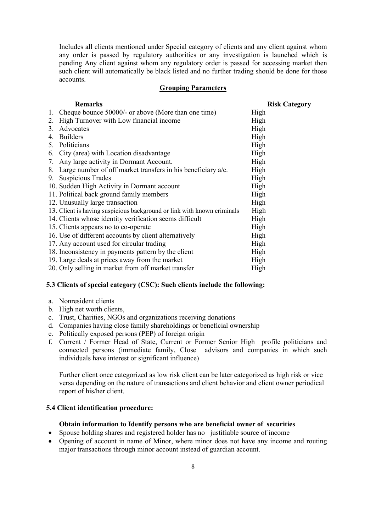Includes all clients mentioned under Special category of clients and any client against whom any order is passed by regulatory authorities or any investigation is launched which is pending Any client against whom any regulatory order is passed for accessing market then such client will automatically be black listed and no further trading should be done for those accounts.

## **Grouping Parameters**

| <b>Remarks</b>                                                          | <b>Risk Category</b> |
|-------------------------------------------------------------------------|----------------------|
| 1. Cheque bounce 50000/- or above (More than one time)                  | High                 |
| High Turnover with Low financial income<br>2.                           | High                 |
| Advocates<br>3 <sub>1</sub>                                             | High                 |
| <b>Builders</b><br>4.                                                   | High                 |
| 5. Politicians                                                          | High                 |
| 6. City (area) with Location disadvantage                               | High                 |
| 7. Any large activity in Dormant Account.                               | High                 |
| 8. Large number of off market transfers in his beneficiary a/c.         | High                 |
| 9. Suspicious Trades                                                    | High                 |
| 10. Sudden High Activity in Dormant account                             | High                 |
| 11. Political back ground family members                                | High                 |
| 12. Unusually large transaction                                         | High                 |
| 13. Client is having suspicious background or link with known criminals | High                 |
| 14. Clients whose identity verification seems difficult                 | High                 |
| 15. Clients appears no to co-operate                                    | High                 |
| 16. Use of different accounts by client alternatively                   | High                 |
| 17. Any account used for circular trading                               | High                 |
| 18. Inconsistency in payments pattern by the client                     | High                 |
| 19. Large deals at prices away from the market                          | High                 |
| 20. Only selling in market from off market transfer                     | High                 |

## **5.3 Clients of special category (CSC): Such clients include the following:**

- a. Nonresident clients
- b. High net worth clients,
- c. Trust, Charities, NGOs and organizations receiving donations
- d. Companies having close family shareholdings or beneficial ownership
- e. Politically exposed persons (PEP) of foreign origin
- f. Current / Former Head of State, Current or Former Senior High profile politicians and connected persons (immediate family, Close advisors and companies in which such individuals have interest or significant influence)

Further client once categorized as low risk client can be later categorized as high risk or vice versa depending on the nature of transactions and client behavior and client owner periodical report of his/her client.

#### **5.4 Client identification procedure:**

#### **Obtain information to Identify persons who are beneficial owner of securities**

- Spouse holding shares and registered holder has no justifiable source of income
- Opening of account in name of Minor, where minor does not have any income and routing major transactions through minor account instead of guardian account.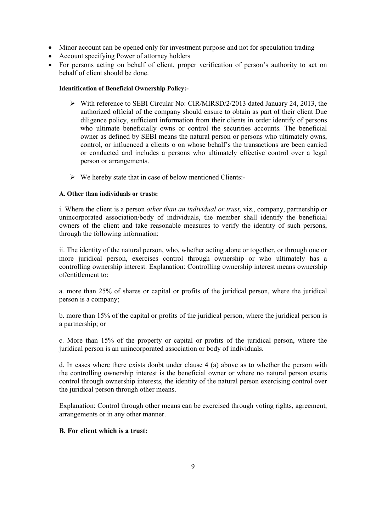- Minor account can be opened only for investment purpose and not for speculation trading
- Account specifying Power of attorney holders
- For persons acting on behalf of client, proper verification of person's authority to act on behalf of client should be done.

## **Identification of Beneficial Ownership Policy:-**

- $\triangleright$  With reference to SEBI Circular No: CIR/MIRSD/2/2013 dated January 24, 2013, the authorized official of the company should ensure to obtain as part of their client Due diligence policy, sufficient information from their clients in order identify of persons who ultimate beneficially owns or control the securities accounts. The beneficial owner as defined by SEBI means the natural person or persons who ultimately owns, control, or influenced a clients o on whose behalf's the transactions are been carried or conducted and includes a persons who ultimately effective control over a legal person or arrangements.
- $\triangleright$  We hereby state that in case of below mentioned Clients:-

## **A. Other than individuals or trusts:**

i. Where the client is a person *other than an individual or trust*, viz., company, partnership or unincorporated association/body of individuals, the member shall identify the beneficial owners of the client and take reasonable measures to verify the identity of such persons, through the following information:

ii. The identity of the natural person, who, whether acting alone or together, or through one or more juridical person, exercises control through ownership or who ultimately has a controlling ownership interest. Explanation: Controlling ownership interest means ownership of/entitlement to:

a. more than 25% of shares or capital or profits of the juridical person, where the juridical person is a company;

b. more than 15% of the capital or profits of the juridical person, where the juridical person is a partnership; or

c. More than 15% of the property or capital or profits of the juridical person, where the juridical person is an unincorporated association or body of individuals.

d. In cases where there exists doubt under clause 4 (a) above as to whether the person with the controlling ownership interest is the beneficial owner or where no natural person exerts control through ownership interests, the identity of the natural person exercising control over the juridical person through other means.

Explanation: Control through other means can be exercised through voting rights, agreement, arrangements or in any other manner.

## **B. For client which is a trust:**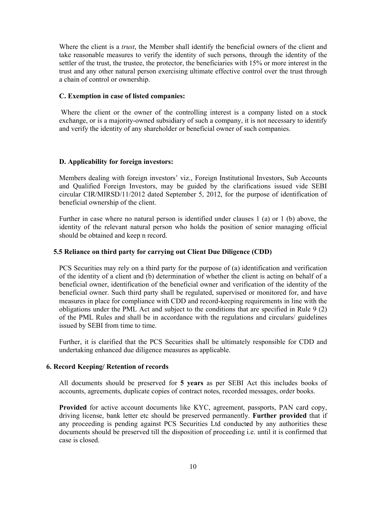Where the client is a *trust*, the Member shall identify the beneficial owners of the client and take reasonable measures to verify the identity of such persons, through the identity of the settler of the trust, the trustee, the protector, the beneficiaries with 15% or more interest in the trust and any other natural person exercising ultimate effective control over the trust through a chain of control or ownership.

## **C. Exemption in case of listed companies:**

Where the client or the owner of the controlling interest is a company listed on a stock exchange, or is a majority-owned subsidiary of such a company, it is not necessary to identify and verify the identity of any shareholder or beneficial owner of such companies.

#### **D. Applicability for foreign investors:**

Members dealing with foreign investors' viz., Foreign Institutional Investors, Sub Accounts and Qualified Foreign Investors, may be guided by the clarifications issued vide SEBI circular CIR/MIRSD/11/2012 dated September 5, 2012, for the purpose of identification of beneficial ownership of the client.

Further in case where no natural person is identified under clauses 1 (a) or 1 (b) above, the identity of the relevant natural person who holds the position of senior managing official should be obtained and keep n record.

## **5.5 Reliance on third party for carrying out Client Due Diligence (CDD)**

PCS Securities may rely on a third party for the purpose of (a) identification and verification of the identity of a client and (b) determination of whether the client is acting on behalf of a beneficial owner, identification of the beneficial owner and verification of the identity of the beneficial owner. Such third party shall be regulated, supervised or monitored for, and have measures in place for compliance with CDD and record-keeping requirements in line with the obligations under the PML Act and subject to the conditions that are specified in Rule 9 (2) of the PML Rules and shall be in accordance with the regulations and circulars/ guidelines issued by SEBI from time to time.

Further, it is clarified that the PCS Securities shall be ultimately responsible for CDD and undertaking enhanced due diligence measures as applicable.

#### **6. Record Keeping/ Retention of records**

All documents should be preserved for **5 years** as per SEBI Act this includes books of accounts, agreements, duplicate copies of contract notes, recorded messages, order books.

**Provided** for active account documents like KYC, agreement, passports, PAN card copy, driving license, bank letter etc should be preserved permanently. **Further provided** that if any proceeding is pending against PCS Securities Ltd conduct**e**d by any authorities these documents should be preserved till the disposition of proceeding i.e. until it is confirmed that case is closed.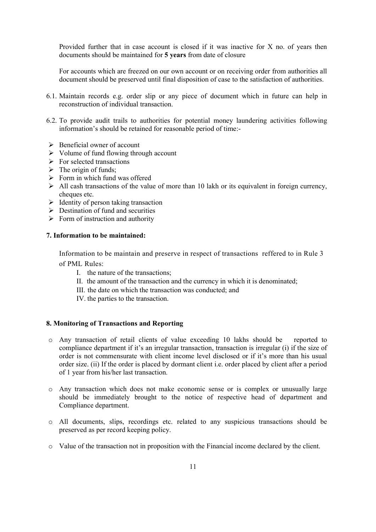Provided further that in case account is closed if it was inactive for X no. of years then documents should be maintained for **5 years** from date of closure

For accounts which are freezed on our own account or on receiving order from authorities all document should be preserved until final disposition of case to the satisfaction of authorities.

- 6.1. Maintain records e.g. order slip or any piece of document which in future can help in reconstruction of individual transaction.
- 6.2. To provide audit trails to authorities for potential money laundering activities following information's should be retained for reasonable period of time:-
- $\triangleright$  Beneficial owner of account
- $\triangleright$  Volume of fund flowing through account
- $\triangleright$  For selected transactions
- $\triangleright$  The origin of funds;
- $\triangleright$  Form in which fund was offered
- $\triangleright$  All cash transactions of the value of more than 10 lakh or its equivalent in foreign currency, cheques etc.
- $\triangleright$  Identity of person taking transaction
- $\triangleright$  Destination of fund and securities
- $\triangleright$  Form of instruction and authority

## **7. Information to be maintained:**

Information to be maintain and preserve in respect of transactions reffered to in Rule 3 of PML Rules:

- I. the nature of the transactions;
- II. the amount of the transaction and the currency in which it is denominated;
- III. the date on which the transaction was conducted; and
- IV. the parties to the transaction.

## **8. Monitoring of Transactions and Reporting**

- o Any transaction of retail clients of value exceeding 10 lakhs should be reported to compliance department if it's an irregular transaction, transaction is irregular (i) if the size of order is not commensurate with client income level disclosed or if it's more than his usual order size. (ii) If the order is placed by dormant client i.e. order placed by client after a period of 1 year from his/her last transaction.
- o Any transaction which does not make economic sense or is complex or unusually large should be immediately brought to the notice of respective head of department and Compliance department.
- o All documents, slips, recordings etc. related to any suspicious transactions should be preserved as per record keeping policy.
- o Value of the transaction not in proposition with the Financial income declared by the client.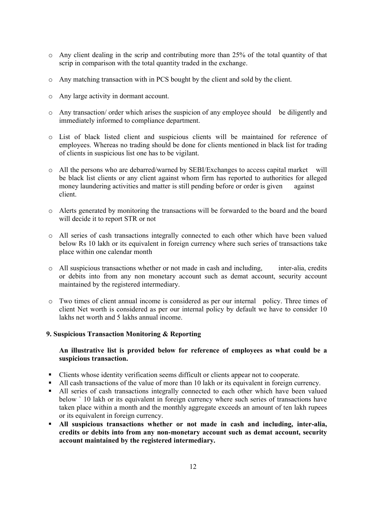- o Any client dealing in the scrip and contributing more than 25% of the total quantity of that scrip in comparison with the total quantity traded in the exchange.
- o Any matching transaction with in PCS bought by the client and sold by the client.
- o Any large activity in dormant account.
- o Any transaction/ order which arises the suspicion of any employee should be diligently and immediately informed to compliance department.
- o List of black listed client and suspicious clients will be maintained for reference of employees. Whereas no trading should be done for clients mentioned in black list for trading of clients in suspicious list one has to be vigilant.
- o All the persons who are debarred/warned by SEBI/Exchanges to access capital market will be black list clients or any client against whom firm has reported to authorities for alleged money laundering activities and matter is still pending before or order is given against client.
- o Alerts generated by monitoring the transactions will be forwarded to the board and the board will decide it to report STR or not
- o All series of cash transactions integrally connected to each other which have been valued below Rs 10 lakh or its equivalent in foreign currency where such series of transactions take place within one calendar month
- o All suspicious transactions whether or not made in cash and including, inter-alia, credits or debits into from any non monetary account such as demat account, security account maintained by the registered intermediary.
- o Two times of client annual income is considered as per our internal policy. Three times of client Net worth is considered as per our internal policy by default we have to consider 10 lakhs net worth and 5 lakhs annual income.

#### **9. Suspicious Transaction Monitoring & Reporting**

## **An illustrative list is provided below for reference of employees as what could be a suspicious transaction.**

- Clients whose identity verification seems difficult or clients appear not to cooperate.
- All cash transactions of the value of more than 10 lakh or its equivalent in foreign currency.
- All series of cash transactions integrally connected to each other which have been valued below ` 10 lakh or its equivalent in foreign currency where such series of transactions have taken place within a month and the monthly aggregate exceeds an amount of ten lakh rupees or its equivalent in foreign currency.
- **All suspicious transactions whether or not made in cash and including, inter-alia, credits or debits into from any non-monetary account such as demat account, security account maintained by the registered intermediary.**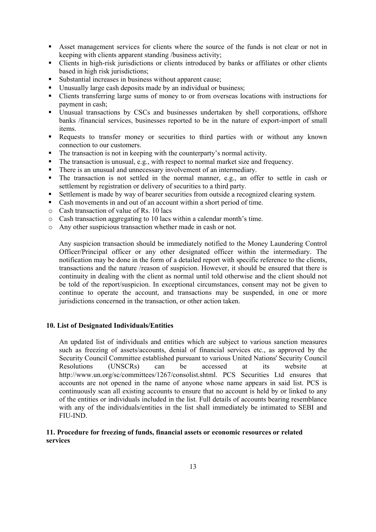- Asset management services for clients where the source of the funds is not clear or not in keeping with clients apparent standing /business activity;
- Clients in high-risk jurisdictions or clients introduced by banks or affiliates or other clients based in high risk jurisdictions;
- Substantial increases in business without apparent cause;
- Unusually large cash deposits made by an individual or business;
- Clients transferring large sums of money to or from overseas locations with instructions for payment in cash;
- Unusual transactions by CSCs and businesses undertaken by shell corporations, offshore banks /financial services, businesses reported to be in the nature of export-import of small items.
- Requests to transfer money or securities to third parties with or without any known connection to our customers.
- The transaction is not in keeping with the counterparty's normal activity.
- The transaction is unusual, e.g., with respect to normal market size and frequency.
- There is an unusual and unnecessary involvement of an intermediary.
- The transaction is not settled in the normal manner, e.g., an offer to settle in cash or settlement by registration or delivery of securities to a third party.
- Settlement is made by way of bearer securities from outside a recognized clearing system.
- Cash movements in and out of an account within a short period of time.
- o Cash transaction of value of Rs. 10 lacs
- o Cash transaction aggregating to 10 lacs within a calendar month's time.
- o Any other suspicious transaction whether made in cash or not.

Any suspicion transaction should be immediately notified to the Money Laundering Control Officer/Principal officer or any other designated officer within the intermediary. The notification may be done in the form of a detailed report with specific reference to the clients, transactions and the nature /reason of suspicion. However, it should be ensured that there is continuity in dealing with the client as normal until told otherwise and the client should not be told of the report/suspicion. In exceptional circumstances, consent may not be given to continue to operate the account, and transactions may be suspended, in one or more jurisdictions concerned in the transaction, or other action taken.

## **10. List of Designated Individuals/Entities**

An updated list of individuals and entities which are subject to various sanction measures such as freezing of assets/accounts, denial of financial services etc., as approved by the Security Council Committee established pursuant to various United Nations' Security Council Resolutions (UNSCRs) can be accessed at its website at http://www.un.org/sc/committees/1267/consolist.shtml. PCS Securities Ltd ensures that accounts are not opened in the name of anyone whose name appears in said list. PCS is continuously scan all existing accounts to ensure that no account is held by or linked to any of the entities or individuals included in the list. Full details of accounts bearing resemblance with any of the individuals/entities in the list shall immediately be intimated to SEBI and FIU-IND.

## **11. Procedure for freezing of funds, financial assets or economic resources or related services**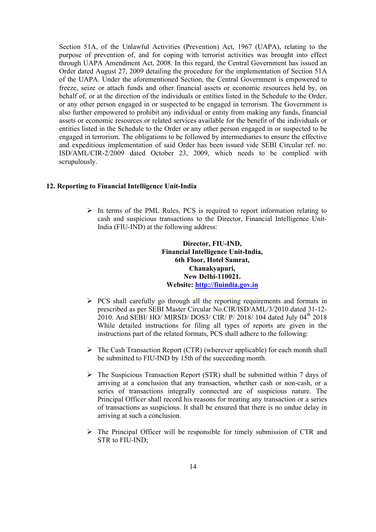Section 51A, of the Unlawful Activities (Prevention) Act, 1967 (UAPA), relating to the purpose of prevention of, and for coping with terrorist activities was brought into effect through UAPA Amendment Act, 2008. In this regard, the Central Government has issued an Order dated August 27, 2009 detailing the procedure for the implementation of Section 51A of the UAPA. Under the aforementioned Section, the Central Government is empowered to freeze, seize or attach funds and other financial assets or economic resources held by, on behalf of, or at the direction of the individuals or entities listed in the Schedule to the Order, or any other person engaged in or suspected to be engaged in terrorism. The Government is also further empowered to prohibit any individual or entity from making any funds, financial assets or economic resources or related services available for the benefit of the individuals or entities listed in the Schedule to the Order or any other person engaged in or suspected to be engaged in terrorism. The obligations to be followed by intermediaries to ensure the effective and expeditious implementation of said Order has been issued vide SEBI Circular ref. no: ISD/AML/CIR-2/2009 dated October 23, 2009, which needs to be complied with scrupulously.

#### **12. Reporting to Financial Intelligence Unit-India**

 $\triangleright$  In terms of the PML Rules, PCS is required to report information relating to cash and suspicious transactions to the Director, Financial Intelligence Unit-India (FIU-IND) at the following address:

> **Director, FIU-IND, Financial Intelligence Unit-India, 6th Floor, Hotel Samrat, Chanakyapuri, New Delhi-110021. Website: http://fiuindia.gov.in**

- $\triangleright$  PCS shall carefully go through [all the reporting requ](http://fiuindia.gov.in/)irements and formats in prescribed as per SEBI Master Circular No.CIR/ISD/AML/3/2010 dated 31-12- 2010. And SEBI/ HO/ MIRSD/ DOS3/ CIR/ P/ 2018/ 104 dated July 04<sup>th</sup> 2018 While detailed instructions for filing all types of reports are given in the instructions part of the related formats, PCS shall adhere to the following:
- $\triangleright$  The Cash Transaction Report (CTR) (wherever applicable) for each month shall be submitted to FIU-IND by 15th of the succeeding month.
- $\triangleright$  The Suspicious Transaction Report (STR) shall be submitted within 7 days of arriving at a conclusion that any transaction, whether cash or non-cash, or a series of transactions integrally connected are of suspicious nature. The Principal Officer shall record his reasons for treating any transaction or a series of transactions as suspicious. It shall be ensured that there is no undue delay in arriving at such a conclusion.
- $\triangleright$  The Principal Officer will be responsible for timely submission of CTR and STR to FIU-IND;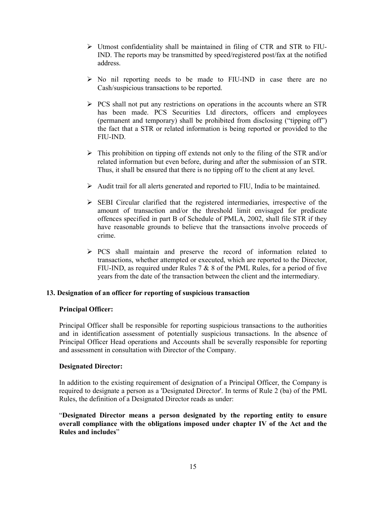- $\triangleright$  Utmost confidentiality shall be maintained in filing of CTR and STR to FIU-IND. The reports may be transmitted by speed/registered post/fax at the notified address.
- $\triangleright$  No nil reporting needs to be made to FIU-IND in case there are no Cash/suspicious transactions to be reported.
- $\triangleright$  PCS shall not put any restrictions on operations in the accounts where an STR has been made. PCS Securities Ltd directors, officers and employees (permanent and temporary) shall be prohibited from disclosing ("tipping off") the fact that a STR or related information is being reported or provided to the FIU-IND.
- $\triangleright$  This prohibition on tipping off extends not only to the filing of the STR and/or related information but even before, during and after the submission of an STR. Thus, it shall be ensured that there is no tipping off to the client at any level.
- $\triangleright$  Audit trail for all alerts generated and reported to FIU, India to be maintained.
- $\triangleright$  SEBI Circular clarified that the registered intermediaries, irrespective of the amount of transaction and/or the threshold limit envisaged for predicate offences specified in part B of Schedule of PMLA, 2002, shall file STR if they have reasonable grounds to believe that the transactions involve proceeds of crime.
- $\triangleright$  PCS shall maintain and preserve the record of information related to transactions, whether attempted or executed, which are reported to the Director, FIU-IND, as required under Rules  $7 & 8 & 8$  of the PML Rules, for a period of five years from the date of the transaction between the client and the intermediary.

#### **13. Designation of an officer for reporting of suspicious transaction**

## **Principal Officer:**

Principal Officer shall be responsible for reporting suspicious transactions to the authorities and in identification assessment of potentially suspicious transactions. In the absence of Principal Officer Head operations and Accounts shall be severally responsible for reporting and assessment in consultation with Director of the Company.

## **Designated Director:**

In addition to the existing requirement of designation of a Principal Officer, the Company is required to designate a person as a 'Designated Director'. In terms of Rule 2 (ba) of the PML Rules, the definition of a Designated Director reads as under:

"**Designated Director means a person designated by the reporting entity to ensure overall compliance with the obligations imposed under chapter IV of the Act and the Rules and includes**"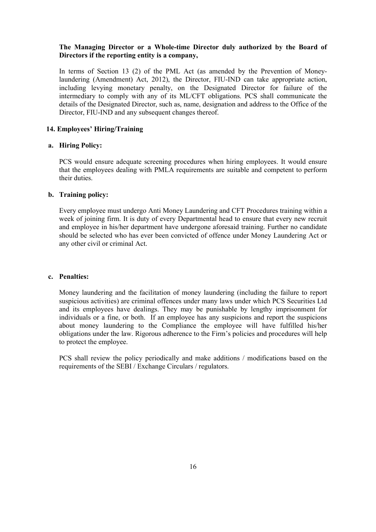## **The Managing Director or a Whole-time Director duly authorized by the Board of Directors if the reporting entity is a company,**

In terms of Section 13 (2) of the PML Act (as amended by the Prevention of Moneylaundering (Amendment) Act, 2012), the Director, FIU-IND can take appropriate action, including levying monetary penalty, on the Designated Director for failure of the intermediary to comply with any of its ML/CFT obligations. PCS shall communicate the details of the Designated Director, such as, name, designation and address to the Office of the Director, FIU-IND and any subsequent changes thereof.

## **14. Employees' Hiring/Training**

#### **a. Hiring Policy:**

PCS would ensure adequate screening procedures when hiring employees. It would ensure that the employees dealing with PMLA requirements are suitable and competent to perform their duties.

#### **b. Training policy:**

Every employee must undergo Anti Money Laundering and CFT Procedures training within a week of joining firm. It is duty of every Departmental head to ensure that every new recruit and employee in his/her department have undergone aforesaid training. Further no candidate should be selected who has ever been convicted of offence under Money Laundering Act or any other civil or criminal Act.

#### **c. Penalties:**

Money laundering and the facilitation of money laundering (including the failure to report suspicious activities) are criminal offences under many laws under which PCS Securities Ltd and its employees have dealings. They may be punishable by lengthy imprisonment for individuals or a fine, or both. If an employee has any suspicions and report the suspicions about money laundering to the Compliance the employee will have fulfilled his/her obligations under the law. Rigorous adherence to the Firm's policies and procedures will help to protect the employee.

PCS shall review the policy periodically and make additions / modifications based on the requirements of the SEBI / Exchange Circulars / regulators.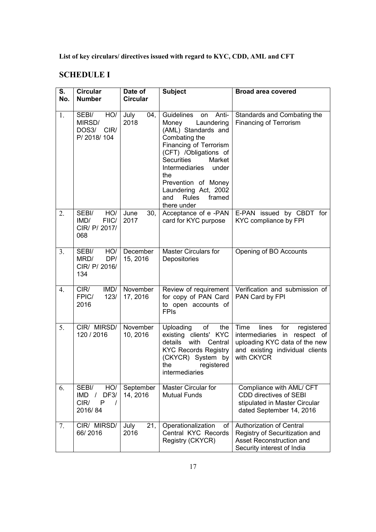**List of key circulars/ directives issued with regard to KYC, CDD, AML and CFT**

# **SCHEDULE I**

| S.<br>No. | <b>Circular</b><br><b>Number</b>                                               | Date of<br><b>Circular</b> | <b>Subject</b>                                                                                                                                                                                                                                                                                                     | <b>Broad area covered</b>                                                                                                                               |
|-----------|--------------------------------------------------------------------------------|----------------------------|--------------------------------------------------------------------------------------------------------------------------------------------------------------------------------------------------------------------------------------------------------------------------------------------------------------------|---------------------------------------------------------------------------------------------------------------------------------------------------------|
| 1.        | SEBI/<br>HO/<br>MIRSD/<br>DOS3/<br>CIR/<br>P/2018/104                          | 04,<br>July<br>2018        | Guidelines<br>Anti-<br>on<br>Laundering<br>Money<br>(AML) Standards and<br>Combating the<br>Financing of Terrorism<br>(CFT) /Obligations of<br><b>Securities</b><br>Market<br><b>Intermediaries</b><br>under<br>the<br>Prevention of Money<br>Laundering Act, 2002<br><b>Rules</b><br>and<br>framed<br>there under | Standards and Combating the<br><b>Financing of Terrorism</b>                                                                                            |
| 2.        | SEBI/<br>HO/<br>FIIC/<br>IMD/<br>CIR/ P/ 2017/<br>068                          | 30,<br>June<br>2017        | Acceptance of e-PAN<br>card for KYC purpose                                                                                                                                                                                                                                                                        | E-PAN issued by CBDT for<br>KYC compliance by FPI                                                                                                       |
| 3.        | HO/<br>SEBI/<br>DP/<br>MRD/<br>CIR/ P/ 2016/<br>134                            | December<br>15, 2016       | Master Circulars for<br>Depositories                                                                                                                                                                                                                                                                               | Opening of BO Accounts                                                                                                                                  |
| 4.        | IMD/<br>CIR/<br>FPIC/<br>123/<br>2016                                          | November<br>17, 2016       | for copy of PAN Card<br>to open accounts of<br><b>FPIs</b>                                                                                                                                                                                                                                                         | Review of requirement   Verification and submission of<br>PAN Card by FPI                                                                               |
| 5.        | CIR/ MIRSD/<br>120 / 2016                                                      | November<br>10, 2016       | Uploading<br>of<br>the<br>existing clients' KYC<br>details<br>with<br>Central<br><b>KYC Records Registry</b><br>(CKYCR) System by<br>the<br>registered<br>intermediaries                                                                                                                                           | Time<br>lines<br>for<br>registered<br>intermediaries in<br>respect of<br>uploading KYC data of the new<br>and existing individual clients<br>with CKYCR |
| 6.        | SEBI/<br>HO/<br>IMD /<br>DF <sub>3</sub> /<br>CIR/<br>P<br>$\prime$<br>2016/84 | September<br>14, 2016      | <b>Master Circular for</b><br><b>Mutual Funds</b>                                                                                                                                                                                                                                                                  | Compliance with AML/ CFT<br>CDD directives of SEBI<br>stipulated in Master Circular<br>dated September 14, 2016                                         |
| 7.        | CIR/ MIRSD/<br>66/2016                                                         | 21,<br>July<br>2016        | Operationalization<br>of<br>Central KYC Records<br>Registry (CKYCR)                                                                                                                                                                                                                                                | Authorization of Central<br>Registry of Securitization and<br>Asset Reconstruction and<br>Security interest of India                                    |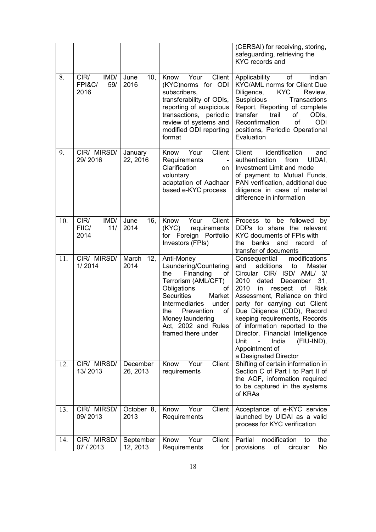|     |                                       |                       |                                                                                                                                                                                                                                                                        | (CERSAI) for receiving, storing,<br>safeguarding, retrieving the<br><b>KYC</b> records and                                                                                                                                                                                                                                                                                                                                                                           |
|-----|---------------------------------------|-----------------------|------------------------------------------------------------------------------------------------------------------------------------------------------------------------------------------------------------------------------------------------------------------------|----------------------------------------------------------------------------------------------------------------------------------------------------------------------------------------------------------------------------------------------------------------------------------------------------------------------------------------------------------------------------------------------------------------------------------------------------------------------|
| 8.  | CIR/<br>IMD/<br>FPI&C/<br>59/<br>2016 | June<br>10,<br>2016   | Your<br>Client<br>Know<br>(KYC) norms for ODI<br>subscribers,<br>transferability of ODIs,<br>reporting of suspicious<br>transactions, periodic<br>review of systems and<br>modified ODI reporting<br>format                                                            | Applicability<br>Indian<br>of<br><b>KYC/AML norms for Client Due</b><br><b>KYC</b><br>Diligence,<br>Review,<br>Suspicious<br>Transactions<br>Report, Reporting of complete<br>transfer<br>trail<br>of<br>ODIs,<br>Reconfirmation<br>ODI<br>of<br>positions, Periodic Operational<br>Evaluation                                                                                                                                                                       |
| 9.  | CIR/ MIRSD/<br>29/2016                | January<br>22, 2016   | Client<br>Your<br>Know<br>Requirements<br>Clarification<br>on<br>voluntary<br>adaptation of Aadhaar<br>based e-KYC process                                                                                                                                             | identification<br>Client<br>and<br>authentication<br>from<br>UIDAI,<br>Investment Limit and mode<br>of payment to Mutual Funds,<br>PAN verification, additional due<br>diligence in case of material<br>difference in information                                                                                                                                                                                                                                    |
| 10. | CIR/<br>IMD/<br>FIIC/<br>11/<br>2014  | June<br>16,<br>2014   | Client<br>Your<br>Know<br>(KYC)<br>requirements<br>for Foreign Portfolio<br>Investors (FPIs)                                                                                                                                                                           | Process to be followed by<br>DDPs to share the relevant<br>KYC documents of FPIs with<br>the<br>banks<br>and<br>record<br>of<br>transfer of documents                                                                                                                                                                                                                                                                                                                |
| 11. | CIR/ MIRSD/<br>1/2014                 | March<br>12,<br>2014  | Anti-Money<br>Laundering/Countering<br>the<br>Financing<br>of<br>Terrorism (AML/CFT)<br>Obligations<br>оf<br><b>Securities</b><br>Market<br><b>Intermediaries</b><br>under<br>of<br>the<br>Prevention<br>Money laundering<br>Act, 2002 and Rules<br>framed there under | Consequential<br>modifications<br>and<br>additions<br>to<br>Master<br>Circular CIR/ ISD/ AML/ 3/<br>2010<br>dated<br>December<br>31,<br>2010<br>in<br>respect<br>of<br><b>Risk</b><br>Assessment, Reliance on third<br>party for carrying out Client<br>Due Diligence (CDD), Record<br>keeping requirements, Records<br>of information reported to the<br>Director, Financial Intelligence<br>Unit<br>India<br>(FIU-IND),<br>Appointment of<br>a Designated Director |
| 12. | CIR/ MIRSD/<br>13/2013                | December<br>26, 2013  | Client<br>Know<br>Your<br>requirements                                                                                                                                                                                                                                 | Shifting of certain information in<br>Section C of Part I to Part II of<br>the AOF, information required<br>to be captured in the systems<br>of KRAs                                                                                                                                                                                                                                                                                                                 |
| 13. | CIR/ MIRSD/<br>09/2013                | October 8,<br>2013    | Client<br>Your<br>Know<br>Requirements                                                                                                                                                                                                                                 | Acceptance of e-KYC service<br>launched by UIDAI as a valid<br>process for KYC verification                                                                                                                                                                                                                                                                                                                                                                          |
| 14. | CIR/ MIRSD/<br>07 / 2013              | September<br>12, 2013 | Client<br>Your<br>Know<br>Requirements<br>for                                                                                                                                                                                                                          | modification<br>Partial<br>the<br>to<br>of<br>No<br>provisions<br>circular                                                                                                                                                                                                                                                                                                                                                                                           |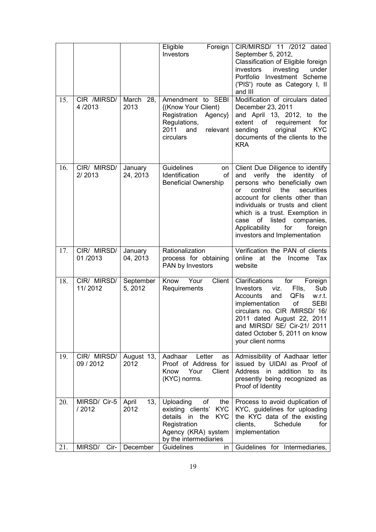|            |                                          |                                  | Eligible<br>Foreign<br>Investors                                                                                                                                           | CIR/MIRSD/ 11 /2012 dated<br>September 5, 2012,<br>Classification of Eligible foreign<br>investing<br>under<br>investors<br>Portfolio Investment Scheme<br>('PIS') route as Category I, II<br>and III                                                                                                                                              |
|------------|------------------------------------------|----------------------------------|----------------------------------------------------------------------------------------------------------------------------------------------------------------------------|----------------------------------------------------------------------------------------------------------------------------------------------------------------------------------------------------------------------------------------------------------------------------------------------------------------------------------------------------|
| 15.        | CIR /MIRSD/<br>4/2013                    | March 28,<br>2013                | Amendment to SEBI<br>{(Know Your Client)<br>Registration<br>Agency}<br>Regulations,<br>2011<br>and<br>relevant<br>circulars                                                | Modification of circulars dated<br>December 23, 2011<br>and April 13, 2012, to the<br>extent of requirement<br>for<br>original<br><b>KYC</b><br>sending<br>documents of the clients to the<br><b>KRA</b>                                                                                                                                           |
| 16.        | CIR/ MIRSD/<br>2/2013                    | January<br>24, 2013              | <b>Guidelines</b><br>on<br>Identification<br>of<br><b>Beneficial Ownership</b>                                                                                             | Client Due Diligence to identify<br>verify the identity of<br>and<br>persons who beneficially own<br>the<br>control<br>securities<br>or<br>account for clients other than<br>individuals or trusts and client<br>which is a trust. Exemption in<br>of listed companies,<br>case<br>Applicability<br>for<br>foreign<br>investors and Implementation |
| 17.        | CIR/ MIRSD/<br>01/2013                   | January<br>04, 2013              | Rationalization<br>process for obtaining<br>PAN by Investors                                                                                                               | Verification the PAN of clients<br>online at<br>the<br>Income<br>Тах<br>website                                                                                                                                                                                                                                                                    |
| 18.        |                                          |                                  |                                                                                                                                                                            |                                                                                                                                                                                                                                                                                                                                                    |
|            | CIR/ MIRSD/<br>11/2012                   | September<br>5, 2012             | Know<br>Your<br>Client<br>Requirements                                                                                                                                     | Clarifications<br>for<br>Foreign<br><b>Investors</b><br>viz.<br>Flls,<br>Sub<br>Accounts<br>and<br>QFIs<br>w.r.t.<br><b>SEBI</b><br>implementation<br>of<br>circulars no. CIR /MIRSD/ 16/<br>2011 dated August 22, 2011<br>and MIRSD/ SE/ Cir-21/ 2011<br>dated October 5, 2011 on know<br>your client norms                                       |
| 19.        | CIR/ MIRSD/<br>09/2012                   | August 13,<br>2012               | Aadhaar<br>Letter<br>as<br>Proof of Address for<br>Your<br>Client<br>Know<br>(KYC) norms.                                                                                  | Admissibility of Aadhaar letter<br>issued by UIDAI as Proof of<br>Address in<br>addition<br>to<br>its<br>presently being recognized as<br>Proof of Identity                                                                                                                                                                                        |
| 20.<br>21. | MIRSD/ Cir-5<br>/ 2012<br>MIRSD/<br>Cir- | April<br>13,<br>2012<br>December | Uploading<br>of<br>the<br>existing clients'<br><b>KYC</b><br>details in<br>the<br><b>KYC</b><br>Registration<br>Agency (KRA) system<br>by the intermediaries<br>Guidelines | Process to avoid duplication of<br>KYC, guidelines for uploading<br>the KYC data of the existing<br>Schedule<br>for<br>clients,<br>implementation<br>Guidelines for Intermediaries,                                                                                                                                                                |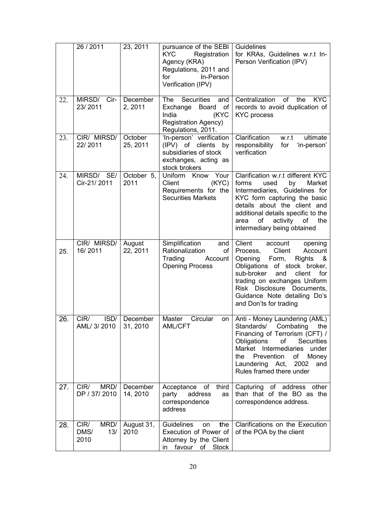|     | 26 / 2011                           | 23, 2011             | pursuance of the SEBI<br><b>KYC</b><br>Registration<br>Agency (KRA)<br>Regulations, 2011 and<br>In-Person<br>for<br>Verification (IPV) | Guidelines<br>for KRAs, Guidelines w.r.t In-<br>Person Verification (IPV)                                                                                                                                                                                                                      |
|-----|-------------------------------------|----------------------|----------------------------------------------------------------------------------------------------------------------------------------|------------------------------------------------------------------------------------------------------------------------------------------------------------------------------------------------------------------------------------------------------------------------------------------------|
| 22. | MIRSD/<br>Cir-<br>23/2011           | December<br>2, 2011  | <b>Securities</b><br>The<br>and<br>Exchange<br>Board<br>of<br>(KYC<br>India<br><b>Registration Agency)</b><br>Regulations, 2011.       | Centralization<br>of<br>the<br>KYC.<br>records to avoid duplication of<br><b>KYC</b> process                                                                                                                                                                                                   |
| 23. | CIR/ MIRSD/<br>22/2011              | October<br>25, 2011  | 'In-person' verification<br>(IPV) of clients<br>by<br>subsidiaries of stock<br>exchanges, acting as<br>stock brokers                   | Clarification<br>ultimate<br>w.r.t<br>for<br>responsibility<br>'in-person'<br>verification                                                                                                                                                                                                     |
| 24. | MIRSD/ SE/<br>Cir-21/2011           | October 5,<br>2011   | Uniform Know Your<br>(KYC)<br>Client<br>Requirements for the<br><b>Securities Markets</b>                                              | Clarification w.r.t different KYC<br>forms<br>used<br>by<br>Market<br>Intermediaries, Guidelines for<br>KYC form capturing the basic<br>details about the client and<br>additional details specific to the<br>of<br>activity of<br>area<br>the<br>intermediary being obtained                  |
| 25. | CIR/ MIRSD/<br>16/2011              | August<br>22, 2011   | Simplification<br>and<br>Rationalization<br>of<br>Trading<br>Account<br><b>Opening Process</b>                                         | Client<br>account<br>opening<br>Client<br>Process,<br>Account<br>Opening<br>Form,<br>Rights<br>&<br>Obligations of stock broker,<br>sub-broker<br>and<br>client<br>for<br>trading on exchanges Uniform<br>Risk Disclosure Documents,<br>Guidance Note detailing Do's<br>and Don'ts for trading |
| 26. | ISD/<br>CIR/<br>AML/ 3/ 2010        | December<br>31, 2010 | Circular<br>Master<br>on<br>AML/CFT                                                                                                    | Anti - Money Laundering (AML)<br>Standards/ Combating the<br>Financing of Terrorism (CFT) /<br>Obligations<br>of<br><b>Securities</b><br>Market Intermediaries<br>under<br>$\circ$ f<br>the<br>Prevention<br>Money<br>Laundering Act,<br>2002<br>and<br>Rules framed there under               |
| 27. | MRD/<br>CIR/<br>DP / 37/2010        | December<br>14, 2010 | third<br>Acceptance<br>of<br>address<br>party<br>as<br>correspondence<br>address                                                       | Capturing of address other<br>than that of the BO as the<br>correspondence address.                                                                                                                                                                                                            |
| 28. | CIR/<br>MRD/<br>DMS/<br>13/<br>2010 | August 31,<br>2010   | Guidelines<br>the<br>on<br>Execution of Power of<br>Attorney by the Client<br>favour<br><b>Stock</b><br>of<br>in.                      | Clarifications on the Execution<br>of the POA by the client                                                                                                                                                                                                                                    |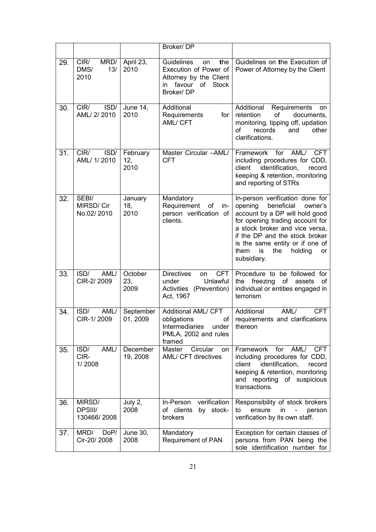|     |                                     |                         | Broker/DP                                                                                                                         |                                                                                                                                                                                                                                                                                                      |
|-----|-------------------------------------|-------------------------|-----------------------------------------------------------------------------------------------------------------------------------|------------------------------------------------------------------------------------------------------------------------------------------------------------------------------------------------------------------------------------------------------------------------------------------------------|
| 29. | CIR/<br>MRD/<br>13/<br>DMS/<br>2010 | April 23,<br>2010       | <b>Guidelines</b><br>the<br>on<br>Execution of Power of<br>Attorney by the Client<br>favour of<br><b>Stock</b><br>in<br>Broker/DP | Guidelines on the Execution of<br>Power of Attorney by the Client                                                                                                                                                                                                                                    |
| 30. | CIR/<br>ISD/<br>AML/ 2/ 2010        | <b>June 14,</b><br>2010 | Additional<br>Requirements<br>for <sub>l</sub><br>AML/ CFT                                                                        | Additional<br>Requirements<br>on<br>retention<br>of<br>documents,<br>monitoring, tipping off, updation<br>records<br>οf<br>and<br>other<br>clarifications.                                                                                                                                           |
| 31. | CIR/<br>ISD/<br>AML/ 1/ 2010        | February<br>12,<br>2010 | Master Circular -AML/<br><b>CFT</b>                                                                                               | Framework<br>for<br>AML/<br><b>CFT</b><br>including procedures for CDD,<br>client<br>identification,<br>record<br>keeping & retention, monitoring<br>and reporting of STRs                                                                                                                           |
| 32. | SEBI/<br>MIRSD/Cir<br>No.02/2010    | January<br>18,<br>2010  | Mandatory<br>Requirement<br>of<br>in-<br>person verification of<br>clients.                                                       | In-person verification done for<br>opening<br>beneficial<br>owner's<br>account by a DP will hold good<br>for opening trading account for<br>a stock broker and vice versa,<br>if the DP and the stock broker<br>is the same entity or if one of<br>them<br>is<br>the<br>holding<br>or<br>subsidiary. |
| 33. | ISD/<br>AML/<br>CIR-2/2009          | October<br>23,<br>2009  | <b>CFT</b><br><b>Directives</b><br>on<br>Unlawful<br>under<br>Activities (Prevention)<br>Act, 1967                                | Procedure to be followed for<br>freezing<br>of<br>the<br>assets<br>of<br>individual or entities engaged in<br>terrorism                                                                                                                                                                              |
| 34. | ISD/<br>AML/<br>CIR-1/2009          | September<br>01, 2009   | Additional AML/ CFT<br>obligations<br>of<br>Intermediaries<br>under<br>PMLA, 2002 and rules<br>framed                             | Additional<br>AML/<br><b>CFT</b><br>requirements and clarifications<br>thereon                                                                                                                                                                                                                       |
| 35. | AML/<br>ISD/<br>CIR-<br>1/2008      | December<br>19, 2008    | Circular<br>Master<br>on<br>AML/ CFT directives                                                                                   | AML/<br>Framework<br>for<br><b>CFT</b><br>including procedures for CDD,<br>client<br>identification,<br>record<br>keeping & retention, monitoring<br>and reporting of suspicious<br>transactions.                                                                                                    |
| 36. | MIRSD/<br>DPSIII/<br>130466/2008    | July 2,<br>2008         | verification<br>In-Person<br>of clients<br>by stock-<br><b>brokers</b>                                                            | Responsibility of stock brokers<br>ensure<br>to<br>in<br>person<br>verification by its own staff.                                                                                                                                                                                                    |
| 37. | MRD/<br>DoP/<br>Cir-20/2008         | June 30,<br>2008        | Mandatory<br><b>Requirement of PAN</b>                                                                                            | Exception for certain classes of<br>persons from PAN being the<br>sole identification number for                                                                                                                                                                                                     |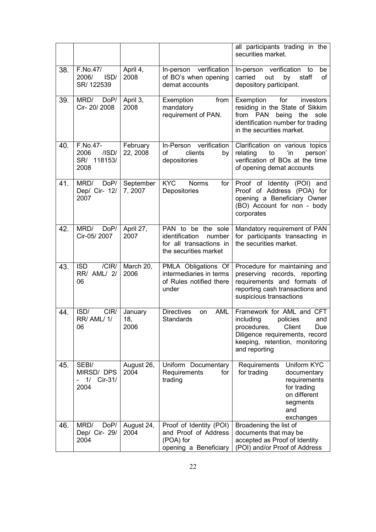|     |                                                        |                        |                                                                                                    | all participants trading in the<br>securities market.                                                                                                                          |
|-----|--------------------------------------------------------|------------------------|----------------------------------------------------------------------------------------------------|--------------------------------------------------------------------------------------------------------------------------------------------------------------------------------|
| 38. | F.No.47/<br>2006/<br>ISD/<br>SR/122539                 | April 4,<br>2008       | In-person verification<br>of BO's when opening<br>demat accounts                                   | In-person verification<br>to<br>be<br>carried<br>out<br>by<br>staff<br>of<br>depository participant.                                                                           |
| 39. | MRD/<br>DoP/<br>Cir- 20/ 2008                          | April 3,<br>2008       | from<br>Exemption<br>mandatory<br>requirement of PAN.                                              | Exemption<br>for<br>investors<br>residing in the State of Sikkim<br>from PAN<br>being<br>the<br>sole<br>identification number for trading<br>in the securities market.         |
| 40. | F.No.47-<br>2006<br>$/$ ISD $/$<br>SR/ 118153/<br>2008 | February<br>22, 2008   | In-Person verification<br>clients<br>οf<br>by<br>depositories                                      | Clarification on various topics<br>relating<br>to<br>ʻin<br>person'<br>verification of BOs at the time<br>of opening demat accounts                                            |
| 41. | DoP/<br>MRD/<br>Dep/ Cir- 12/<br>2007                  | September<br>7,2007    | <b>KYC</b><br><b>Norms</b><br>for $ $<br>Depositories                                              | Proof of Identity (POI) and<br>Proof of Address (POA) for<br>opening a Beneficiary Owner<br>(BO) Account for non - body<br>corporates                                          |
| 42. | MRD/<br>DoP/<br>Cir-05/2007                            | April 27,<br>2007      | PAN to be the sole<br>identification<br>number<br>for all transactions in<br>the securities market | Mandatory requirement of PAN<br>for participants transacting in<br>the securities market.                                                                                      |
| 43. | /CIR/<br><b>ISD</b><br>RR/ AML/ 2/<br>06               | March 20,<br>2006      | PMLA Obligations Of<br>intermediaries in terms<br>of Rules notified there<br>under                 | Procedure for maintaining and<br>preserving records, reporting<br>requirements and formats of<br>reporting cash transactions and<br>suspicious transactions                    |
| 44. | ISD/<br>CIR/<br><b>RR/ AML/ 1/</b><br>06               | January<br>18,<br>2006 | <b>Directives</b><br><b>AML</b><br>on<br>Standards                                                 | Framework for AML and CFT<br>including<br>policies<br>and<br>procedures,<br>Client<br>Due<br>Diligence requirements, record<br>keeping, retention, monitoring<br>and reporting |
| 45. | SEBI/<br>MIRSD/DPS<br>Cir-31/<br>1/<br>-<br>2004       | August 26,<br>2004     | Uniform Documentary<br>Requirements<br>for<br>trading                                              | Uniform KYC<br>Requirements<br>for trading<br>documentary<br>requirements<br>for trading<br>on different<br>segments<br>and<br>exchanges                                       |
| 46. | MRD/<br>DoP/<br>Dep/ Cir- 29/<br>2004                  | August 24,<br>2004     | Proof of Identity (POI)<br>and Proof of Address<br>(POA) for<br>opening a Beneficiary              | Broadening the list of<br>documents that may be<br>accepted as Proof of Identity<br>(POI) and/or Proof of Address                                                              |